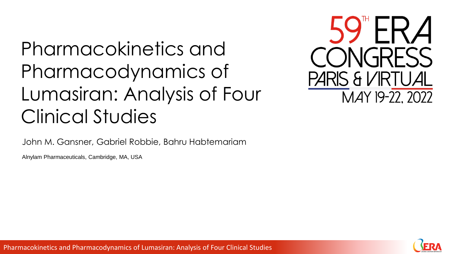# Pharmacokinetics and Pharmacodynamics of Lumasiran: Analysis of Four Clinical Studies

PARIS & VIRTUAL MAY 19-22, 2022

John M. Gansner, Gabriel Robbie, Bahru Habtemariam

Alnylam Pharmaceuticals, Cambridge, MA, USA



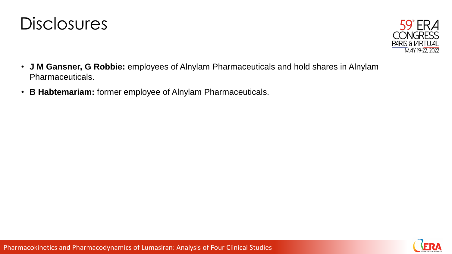



- **J M Gansner, G Robbie:** employees of Alnylam Pharmaceuticals and hold shares in Alnylam Pharmaceuticals.
- **B Habtemariam:** former employee of Alnylam Pharmaceuticals.

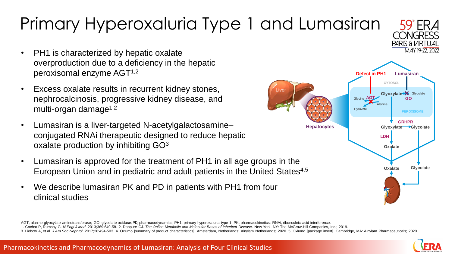# Primary Hyperoxaluria Type 1 and Lumasiran

- PH1 is characterized by hepatic oxalate overproduction due to a deficiency in the hepatic peroxisomal enzyme AGT1,2
- Excess oxalate results in recurrent kidney stones, nephrocalcinosis, progressive kidney disease, and multi-organ damage $1,2$
- Lumasiran is a liver-targeted N-acetylgalactosamine– conjugated RNAi therapeutic designed to reduce hepatic oxalate production by inhibiting GO<sup>3</sup>
- Lumasiran is approved for the treatment of PH1 in all age groups in the European Union and in pediatric and adult patients in the United States<sup>4,5</sup>
- We describe lumasiran PK and PD in patients with PH1 from four clinical studies



AGT, alanine-glyoxylate aminotransferase; GO, glycolate oxidase; PD, pharmacodynamics; PH1, primary hyperoxaluria type 1; PK, pharmacokinetics; RNAi, ribonucleic acid interference.

1. Cochat P, Rumsby G. *N Engl J Med*. 2013;369:649-58. 2. Danpure CJ. *The Online Metabolic and Molecular Bases of Inherited Disease*. New York, NY: The McGraw-Hill Companies, Inc.; 2019.

3. Liebow A. et al. J Am Soc Nephrol. 2017:28:494-503. 4. Oxlumo [summary of product characteristics]. Amsterdam. Netherlands: Alnylam Netherlands: 2020. 5. Oxlumo [package insert]. Cambridge. MA: Alnylam Pharmaceuticals:



PARIS & VIRTUAL MAY 19-77 2022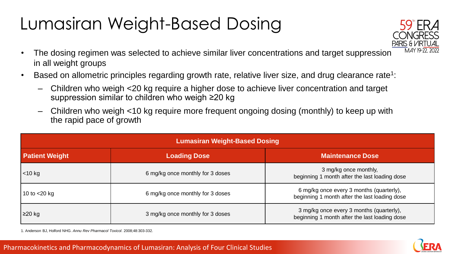#### Lumasiran Weight-Based Dosing



- The dosing regimen was selected to achieve similar liver concentrations and target suppression in all weight groups
- Based on allometric principles regarding growth rate, relative liver size, and drug clearance rate<sup>1</sup>:
	- ‒ Children who weigh <20 kg require a higher dose to achieve liver concentration and target suppression similar to children who weigh ≥20 kg
	- ‒ Children who weigh <10 kg require more frequent ongoing dosing (monthly) to keep up with the rapid pace of growth

| <b>Lumasiran Weight-Based Dosing</b> |                                  |                                                                                           |  |  |  |
|--------------------------------------|----------------------------------|-------------------------------------------------------------------------------------------|--|--|--|
| <b>Patient Weight</b>                | <b>Loading Dose</b>              | <b>Maintenance Dose</b>                                                                   |  |  |  |
| $<$ 10 kg                            | 6 mg/kg once monthly for 3 doses | 3 mg/kg once monthly,<br>beginning 1 month after the last loading dose                    |  |  |  |
| 10 to $<$ 20 kg                      | 6 mg/kg once monthly for 3 doses | 6 mg/kg once every 3 months (quarterly),<br>beginning 1 month after the last loading dose |  |  |  |
| $\geq$ 20 kg                         | 3 mg/kg once monthly for 3 doses | 3 mg/kg once every 3 months (quarterly),<br>beginning 1 month after the last loading dose |  |  |  |

1. Anderson BJ, Holford NHG. *Annu Rev Pharmacol Toxicol*. 2008;48:303-332.

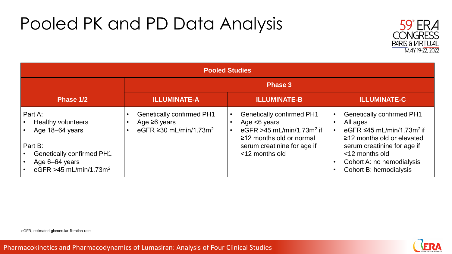#### Pooled PK and PD Data Analysis



| <b>Pooled Studies</b>                                                                                                                                          |                                                                                                    |                                                                                                                                                                                  |                                                                                                                                                                                                                                        |  |  |
|----------------------------------------------------------------------------------------------------------------------------------------------------------------|----------------------------------------------------------------------------------------------------|----------------------------------------------------------------------------------------------------------------------------------------------------------------------------------|----------------------------------------------------------------------------------------------------------------------------------------------------------------------------------------------------------------------------------------|--|--|
|                                                                                                                                                                | <b>Phase 3</b>                                                                                     |                                                                                                                                                                                  |                                                                                                                                                                                                                                        |  |  |
| Phase 1/2                                                                                                                                                      | <b>ILLUMINATE-A</b>                                                                                | <b>ILLUMINATE-B</b>                                                                                                                                                              | <b>ILLUMINATE-C</b>                                                                                                                                                                                                                    |  |  |
| Part A:<br><b>Healthy volunteers</b><br>Age 18-64 years<br>Part B:<br><b>Genetically confirmed PH1</b><br>Age 6-64 years<br>eGFR >45 mL/min/1.73m <sup>2</sup> | <b>Genetically confirmed PH1</b><br>Age $\geq 6$ years<br>eGFR $\geq$ 30 mL/min/1.73m <sup>2</sup> | <b>Genetically confirmed PH1</b><br>Age $<6$ years<br>eGFR $>45$ mL/min/1.73m <sup>2</sup> if<br>$\geq$ 12 months old or normal<br>serum creatinine for age if<br><12 months old | <b>Genetically confirmed PH1</b><br>All ages<br>eGFR $\leq$ 45 mL/min/1.73m <sup>2</sup> if<br>$\ge$ 12 months old or elevated<br>serum creatinine for age if<br><12 months old<br>Cohort A: no hemodialysis<br>Cohort B: hemodialysis |  |  |



Pharmacokinetics and Pharmacodynamics of Lumasiran: Analysis of Four Clinical Studies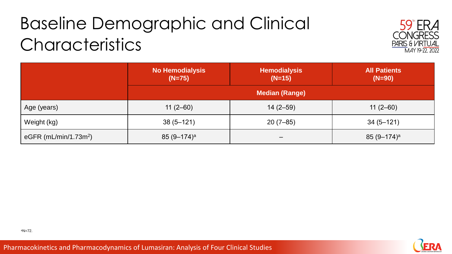## Baseline Demographic and Clinical **Characteristics**



|                                   | <b>No Hemodialysis</b><br>$(N=75)$ | <b>Hemodialysis</b><br>$(N=15)$ | <b>All Patients</b><br>$(N=90)$ |  |
|-----------------------------------|------------------------------------|---------------------------------|---------------------------------|--|
|                                   | <b>Median (Range)</b>              |                                 |                                 |  |
| Age (years)                       | $11(2-60)$                         | $14(2 - 59)$                    | $11(2-60)$                      |  |
| Weight (kg)                       | $38(5 - 121)$                      | $20(7-85)$                      | $34(5 - 121)$                   |  |
| eGFR (mL/min/1.73m <sup>2</sup> ) | $85 (9 - 174)^a$                   |                                 | $85 (9 - 174)^a$                |  |



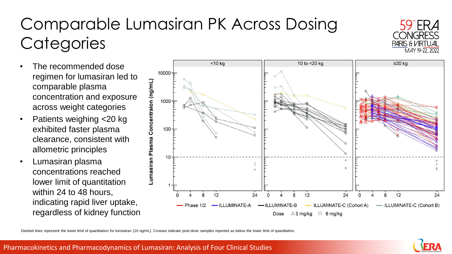#### Comparable Lumasiran PK Across Dosing **Categories**



- The recommended dose regimen for lumasiran led to comparable plasma concentration and exposure across weight categories
- Patients weighing <20 kg exhibited faster plasma clearance, consistent with allometric principles
- Lumasiran plasma concentrations reached lower limit of quantitation within 24 to 48 hours, indicating rapid liver uptake, regardless of kidney function



Dashed lines represent the lower limit of quantitation for lumasiran (10 ng/mL). Crosses indicate post-dose samples reported as below the lower limit of quantitation.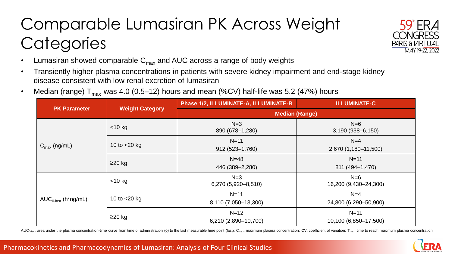#### Comparable Lumasiran PK Across Weight **Categories**



- Lumasiran showed comparable  $C_{\text{max}}$  and AUC across a range of body weights
- Transiently higher plasma concentrations in patients with severe kidney impairment and end-stage kidney disease consistent with low renal excretion of lumasiran
- Median (range)  $T_{max}$  was 4.0 (0.5–12) hours and mean (%CV) half-life was 5.2 (47%) hours

| <b>PK Parameter</b>             | <b>Weight Category</b> | Phase 1/2, ILLUMINATE-A, ILLUMINATE-B | <b>ILLUMINATE-C</b>             |
|---------------------------------|------------------------|---------------------------------------|---------------------------------|
|                                 |                        | <b>Median (Range)</b>                 |                                 |
| $C_{\text{max}}$ (ng/mL)        | $<$ 10 kg              | $N=3$<br>890 (678-1,280)              | $N=6$<br>$3,190(938 - 6,150)$   |
|                                 | 10 to $<$ 20 kg        | $N=11$<br>912 (523-1,760)             | $N=4$<br>2,670 (1,180-11,500)   |
|                                 | $\geq$ 20 kg           | $N = 48$<br>446 (389-2,280)           | $N=11$<br>811 (494-1,470)       |
| $AUC_{0\text{-last}}$ (h*ng/mL) | $<$ 10 kg              | $N=3$<br>6,270 (5,920-8,510)          | $N=6$<br>16,200 (9,430-24,300)  |
|                                 | 10 to $<$ 20 kg        | $N=11$<br>8,110 (7,050-13,300)        | $N=4$<br>24,800 (6,290-50,900)  |
|                                 | $\geq$ 20 kg           | $N=12$<br>6,210 (2,890-10,700)        | $N=11$<br>10,100 (6,850-17,500) |

AUC<sub>0-last</sub>, area under the plasma concentration-time curve from time of administration (0) to the last measurable time point (last); C<sub>max</sub>, maximum plasma concentration; CV, coefficient of variation; T<sub>max</sub>, time to reac

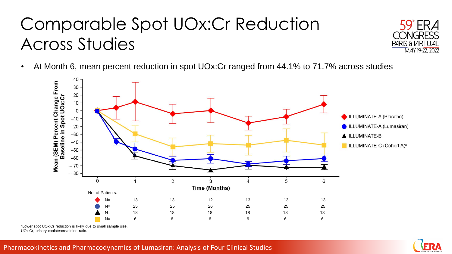#### Comparable Spot UOx:Cr Reduction Across Studies



• At Month 6, mean percent reduction in spot UOx:Cr ranged from 44.1% to 71.7% across studies



<sup>a</sup>Lower spot UOx:Cr reduction is likely due to small sample size. UOx:Cr, urinary oxalate:creatinine ratio.

#### Pharmacokinetics and Pharmacodynamics of Lumasiran: Analysis of Four Clinical Studies

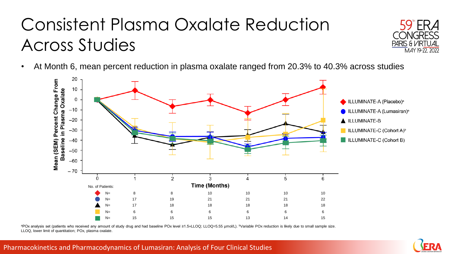#### Consistent Plasma Oxalate Reduction Across Studies



• At Month 6, mean percent reduction in plasma oxalate ranged from 20.3% to 40.3% across studies



aPOx analysis set (patients who received any amount of study drug and had baseline POx level ≥1.5×LLOQ; LLOQ=5.55 µmol/L). <sup>b</sup>Variable POx reduction is likely due to small sample size. LLOQ, lower limit of quantitation; POx, plasma oxalate.

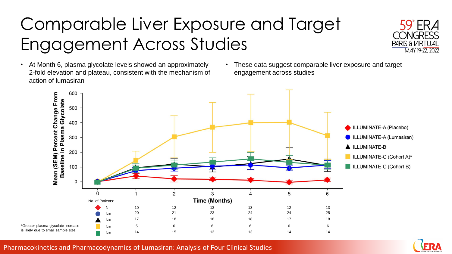## Comparable Liver Exposure and Target Engagement Across Studies



- At Month 6, plasma glycolate levels showed an approximately 2-fold elevation and plateau, consistent with the mechanism of action of lumasiran
- These data suggest comparable liver exposure and target engagement across studies